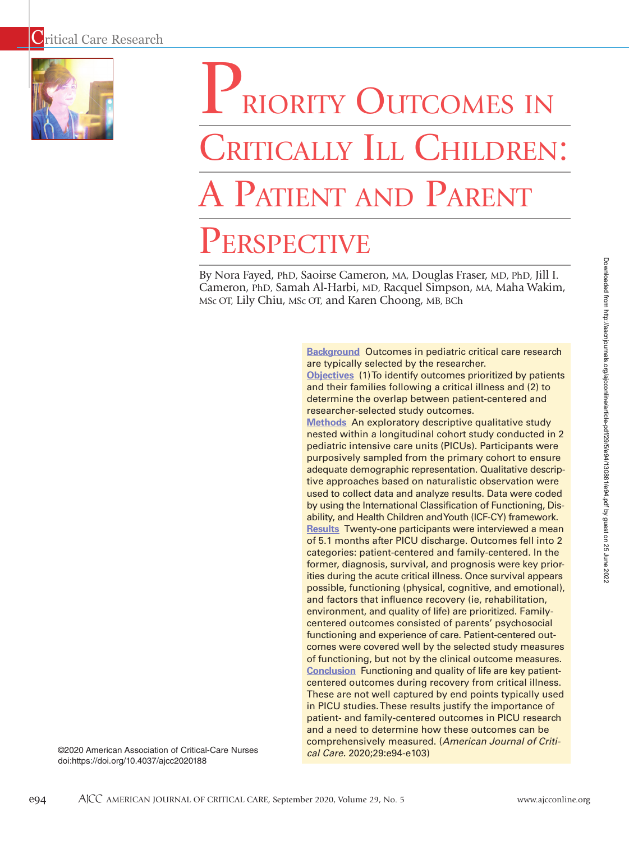

# PRIORITY OUTCOMES IN CRITICALLY ILL CHILDREN: A Patient and Parent **PERSPECTIVE**

By Nora Fayed, PhD, Saoirse Cameron, MA, Douglas Fraser, MD, PhD, Jill I. Cameron, PhD, Samah Al-Harbi, MD, Racquel Simpson, MA, Maha Wakim, MSc OT, Lily Chiu, MSc OT, and Karen Choong, MB, BCh

> **Background** Outcomes in pediatric critical care research are typically selected by the researcher. **Objectives** (1) To identify outcomes prioritized by patients

and their families following a critical illness and (2) to determine the overlap between patient-centered and researcher-selected study outcomes.

**Methods** An exploratory descriptive qualitative study nested within a longitudinal cohort study conducted in 2 pediatric intensive care units (PICUs). Participants were purposively sampled from the primary cohort to ensure adequate demographic representation. Qualitative descriptive approaches based on naturalistic observation were used to collect data and analyze results. Data were coded by using the International Classification of Functioning, Disability, and Health Children and Youth (ICF-CY) framework. **Results** Twenty-one participants were interviewed a mean of 5.1 months after PICU discharge. Outcomes fell into 2 categories: patient-centered and family-centered. In the former, diagnosis, survival, and prognosis were key priorities during the acute critical illness. Once survival appears possible, functioning (physical, cognitive, and emotional), and factors that influence recovery (ie, rehabilitation, environment, and quality of life) are prioritized. Familycentered outcomes consisted of parents' psychosocial functioning and experience of care. Patient-centered outcomes were covered well by the selected study measures of functioning, but not by the clinical outcome measures. **Conclusion** Functioning and quality of life are key patientcentered outcomes during recovery from critical illness. These are not well captured by end points typically used in PICU studies. These results justify the importance of patient- and family-centered outcomes in PICU research and a need to determine how these outcomes can be comprehensively measured. (*American Journal of Critical Care.* 2020;29:e94-e103)

©2020 American Association of Critical-Care Nurses doi:https://doi.org/10.4037/ajcc2020188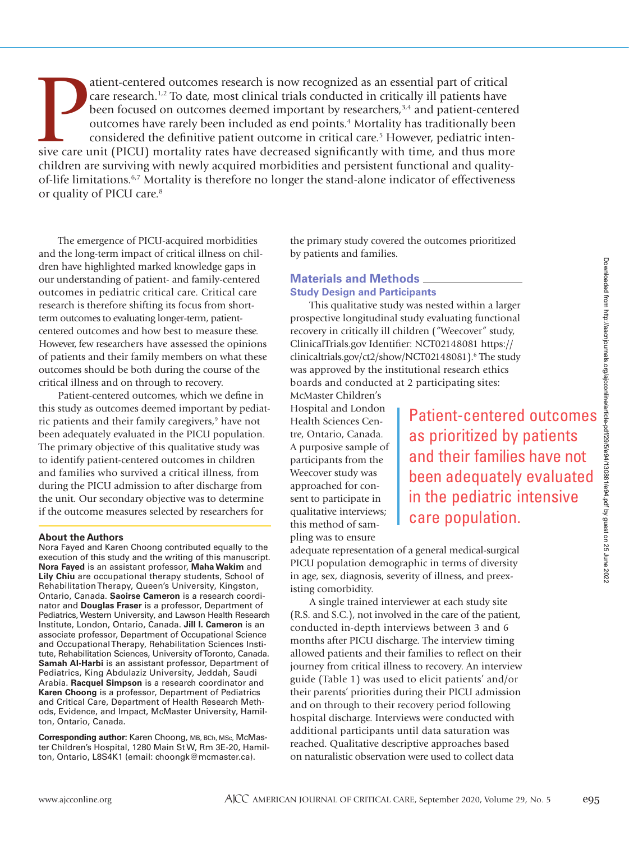atient-centered outcomes research is now recognized as an essential part of critical care research.<sup>1,2</sup> To date, most clinical trials conducted in critically ill patients have been focused on outcomes deemed important by atient-centered outcomes research is now recognized as an essential part of critical care research.<sup>1,2</sup> To date, most clinical trials conducted in critically ill patients have been focused on outcomes deemed important by researchers,<sup>3,4</sup> and patient-centered outcomes have rarely been included as end points.<sup>4</sup> Mortality has traditionally been considered the definitive patient outcome in critical care.<sup>5</sup> However, pediatric intenchildren are surviving with newly acquired morbidities and persistent functional and qualityof-life limitations.6,7 Mortality is therefore no longer the stand-alone indicator of effectiveness or quality of PICU care.8

The emergence of PICU-acquired morbidities and the long-term impact of critical illness on children have highlighted marked knowledge gaps in our understanding of patient- and family-centered outcomes in pediatric critical care. Critical care research is therefore shifting its focus from shortterm outcomes to evaluating longer-term, patientcentered outcomes and how best to measure these. However, few researchers have assessed the opinions of patients and their family members on what these outcomes should be both during the course of the critical illness and on through to recovery.

Patient-centered outcomes, which we define in this study as outcomes deemed important by pediatric patients and their family caregivers,<sup>9</sup> have not been adequately evaluated in the PICU population. The primary objective of this qualitative study was to identify patient-centered outcomes in children and families who survived a critical illness, from during the PICU admission to after discharge from the unit. Our secondary objective was to determine if the outcome measures selected by researchers for

#### **About the Authors**

Nora Fayed and Karen Choong contributed equally to the execution of this study and the writing of this manuscript. **Nora Fayed** is an assistant professor, **Maha Wakim** and **Lily Chiu** are occupational therapy students, School of Rehabilitation Therapy, Queen's University, Kingston, Ontario, Canada. **Saoirse Cameron** is a research coordinator and **Douglas Fraser** is a professor, Department of Pediatrics, Western University, and Lawson Health Research Institute, London, Ontario, Canada. **Jill I. Cameron** is an associate professor, Department of Occupational Science and Occupational Therapy, Rehabilitation Sciences Institute, Rehabilitation Sciences, University of Toronto, Canada. **Samah Al-Harbi** is an assistant professor, Department of Pediatrics, King Abdulaziz University, Jeddah, Saudi Arabia. **Racquel Simpson** is a research coordinator and **Karen Choong** is a professor, Department of Pediatrics and Critical Care, Department of Health Research Methods, Evidence, and Impact, McMaster University, Hamilton, Ontario, Canada.

**Corresponding author:** Karen Choong, MB, BCh, MSc, McMaster Children's Hospital, 1280 Main St W, Rm 3E-20, Hamilton, Ontario, L8S4K1 (email: choongk@mcmaster.ca).

the primary study covered the outcomes prioritized by patients and families.

# **Materials and Methods Study Design and Participants**

This qualitative study was nested within a larger prospective longitudinal study evaluating functional recovery in critically ill children ("Weecover" study, ClinicalTrials.gov Identifier: NCT02148081 https:// clinicaltrials.gov/ct2/show/NCT02148081).6 The study was approved by the institutional research ethics boards and conducted at 2 participating sites:

McMaster Children's Hospital and London Health Sciences Centre, Ontario, Canada. A purposive sample of participants from the Weecover study was approached for consent to participate in qualitative interviews; this method of sampling was to ensure

ds<br>
ipants<br>
was nested within a larger<br>
udy evaluating functional<br>
dren ("Weecover" study,<br>
:: NCT02148081 https://<br>
NCT02148081 https://<br>
NCT02148081 https://<br>
NCT02148081 https://<br>
<br>
vicional research ethics<br>
2 participa as prioritized by patients and their families have not been adequately evaluated in the pediatric intensive care population.

adequate representation of a general medical-surgical PICU population demographic in terms of diversity in age, sex, diagnosis, severity of illness, and preexisting comorbidity.

A single trained interviewer at each study site (R.S. and S.C.), not involved in the care of the patient, conducted in-depth interviews between 3 and 6 months after PICU discharge. The interview timing allowed patients and their families to reflect on their journey from critical illness to recovery. An interview guide (Table 1) was used to elicit patients' and/or their parents' priorities during their PICU admission and on through to their recovery period following hospital discharge. Interviews were conducted with additional participants until data saturation was reached. Qualitative descriptive approaches based on naturalistic observation were used to collect data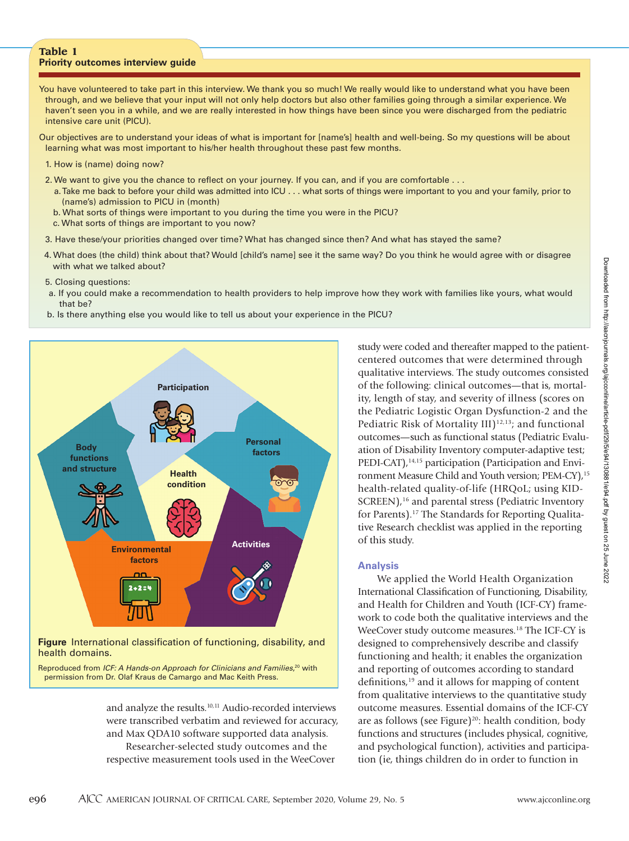### **Table 1 Priority outcomes interview guide**

You have volunteered to take part in this interview. We thank you so much! We really would like to understand what you have been through, and we believe that your input will not only help doctors but also other families going through a similar experience. We haven't seen you in a while, and we are really interested in how things have been since you were discharged from the pediatric intensive care unit (PICU).

Our objectives are to understand your ideas of what is important for [name's] health and well-being. So my questions will be about learning what was most important to his/her health throughout these past few months.

- 1. How is (name) doing now?
- 2. We want to give you the chance to reflect on your journey. If you can, and if you are comfortable . . .
	- a. Take me back to before your child was admitted into ICU . . . what sorts of things were important to you and your family, prior to (name's) admission to PICU in (month)
	- b. What sorts of things were important to you during the time you were in the PICU?
	- c. What sorts of things are important to you now?
- 3. Have these/your priorities changed over time? What has changed since then? And what has stayed the same?
- 4. What does (the child) think about that? Would [child's name] see it the same way? Do you think he would agree with or disagree with what we talked about?
- 5. Closing questions:
- a. If you could make a recommendation to health providers to help improve how they work with families like yours, what would that be?
- b. Is there anything else you would like to tell us about your experience in the PICU?



Reproduced from *ICF: A Hands-on Approach for Clinicians and Families*, 20 with permission from Dr. Olaf Kraus de Camargo and Mac Keith Press.

> and analyze the results.<sup>10,11</sup> Audio-recorded interviews were transcribed verbatim and reviewed for accuracy, and Max QDA10 software supported data analysis. Researcher-selected study outcomes and the respective measurement tools used in the WeeCover

study were coded and thereafter mapped to the patientcentered outcomes that were determined through qualitative interviews. The study outcomes consisted of the following: clinical outcomes—that is, mortality, length of stay, and severity of illness (scores on the Pediatric Logistic Organ Dysfunction-2 and the Pediatric Risk of Mortality III) $12,13$ ; and functional outcomes—such as functional status (Pediatric Evaluation of Disability Inventory computer-adaptive test; PEDI-CAT),<sup>14,15</sup> participation (Participation and Environment Measure Child and Youth version; PEM-CY),<sup>15</sup> health-related quality-of-life (HRQoL; using KID-SCREEN),<sup>16</sup> and parental stress (Pediatric Inventory for Parents).17 The Standards for Reporting Qualitative Research checklist was applied in the reporting of this study.

## **Analysis**

We applied the World Health Organization International Classification of Functioning, Disability, and Health for Children and Youth (ICF-CY) framework to code both the qualitative interviews and the WeeCover study outcome measures.<sup>18</sup> The ICF-CY is designed to comprehensively describe and classify functioning and health; it enables the organization and reporting of outcomes according to standard definitions,<sup>19</sup> and it allows for mapping of content from qualitative interviews to the quantitative study outcome measures. Essential domains of the ICF-CY are as follows (see Figure)<sup>20</sup>: health condition, body functions and structures (includes physical, cognitive, and psychological function), activities and participation (ie, things children do in order to function in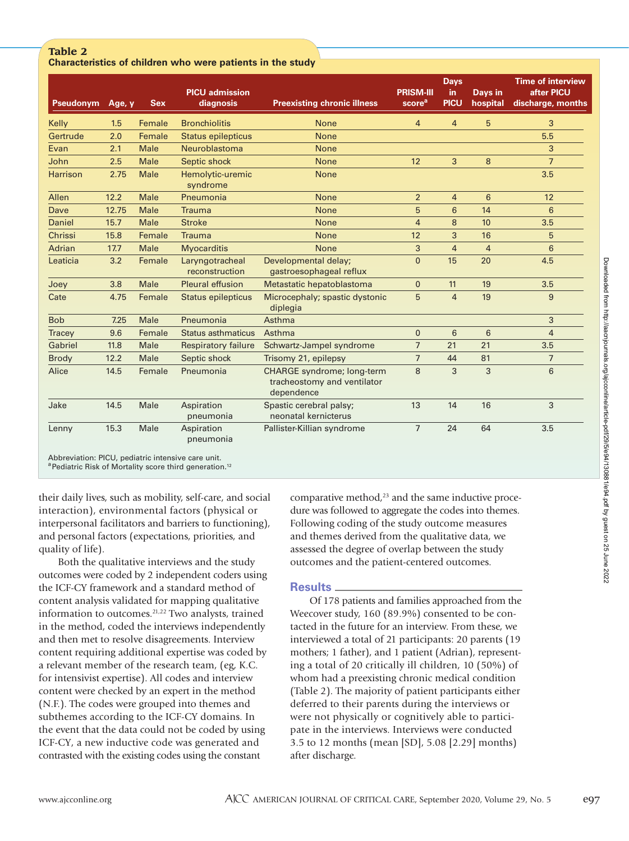# **Table 2 Characteristics of children who were patients in the study**

| <b>Pseudonym</b> | Age, y | <b>Sex</b>  | <b>PICU</b> admission<br>diagnosis | <b>Preexisting chronic illness</b>                                             | <b>PRISM-III</b><br>score <sup>a</sup> | <b>Days</b><br>in<br><b>PICU</b> | <b>Days in</b><br>hospital | <b>Time of interview</b><br>after PICU<br>discharge, months |
|------------------|--------|-------------|------------------------------------|--------------------------------------------------------------------------------|----------------------------------------|----------------------------------|----------------------------|-------------------------------------------------------------|
| Kelly            | 1.5    | Female      | <b>Bronchiolitis</b>               | <b>None</b>                                                                    | $\overline{4}$                         | $\overline{4}$                   | 5                          | 3                                                           |
| Gertrude         | 2.0    | Female      | <b>Status epilepticus</b>          | <b>None</b>                                                                    |                                        |                                  |                            | 5.5                                                         |
| Evan             | 2.1    | <b>Male</b> | Neuroblastoma                      | <b>None</b>                                                                    |                                        |                                  |                            | 3                                                           |
| John             | 2.5    | <b>Male</b> | Septic shock                       | <b>None</b>                                                                    | 12                                     | 3                                | 8                          | $\overline{7}$                                              |
| <b>Harrison</b>  | 2.75   | <b>Male</b> | Hemolytic-uremic<br>syndrome       | <b>None</b>                                                                    |                                        |                                  |                            | 3.5                                                         |
| Allen            | 12.2   | <b>Male</b> | Pneumonia                          | <b>None</b>                                                                    | $\overline{2}$                         | $\overline{4}$                   | 6                          | 12                                                          |
| Dave             | 12.75  | Male        | <b>Trauma</b>                      | <b>None</b>                                                                    | 5                                      | 6                                | 14                         | 6                                                           |
| Daniel           | 15.7   | Male        | <b>Stroke</b>                      | <b>None</b>                                                                    | $\overline{4}$                         | 8                                | 10                         | 3.5                                                         |
| Chrissi          | 15.8   | Female      | <b>Trauma</b>                      | <b>None</b>                                                                    | 12                                     | 3                                | 16                         | 5                                                           |
| Adrian           | 17.7   | Male        | <b>Myocarditis</b>                 | <b>None</b>                                                                    | 3                                      | $\overline{4}$                   | $\overline{4}$             | 6                                                           |
| Leaticia         | 3.2    | Female      | Laryngotracheal<br>reconstruction  | Developmental delay;<br>gastroesophageal reflux                                | $\Omega$                               | 15                               | 20                         | 4.5                                                         |
| Joey             | 3.8    | Male        | <b>Pleural effusion</b>            | Metastatic hepatoblastoma                                                      | $\Omega$                               | 11                               | 19                         | 3.5                                                         |
| Cate             | 4.75   | Female      | Status epilepticus                 | Microcephaly; spastic dystonic<br>diplegia                                     | 5                                      | $\overline{4}$                   | 19                         | 9                                                           |
| <b>Bob</b>       | 7.25   | Male        | Pneumonia                          | Asthma                                                                         |                                        |                                  |                            | 3                                                           |
| <b>Tracey</b>    | 9.6    | Female      | Status asthmaticus                 | Asthma                                                                         | $\mathbf{0}$                           | 6                                | 6                          | $\overline{4}$                                              |
| Gabriel          | 11.8   | Male        | <b>Respiratory failure</b>         | Schwartz-Jampel syndrome                                                       | $\overline{7}$                         | 21                               | 21                         | 3.5                                                         |
| <b>Brody</b>     | 12.2   | Male        | Septic shock                       | Trisomy 21, epilepsy                                                           | $\overline{7}$                         | 44                               | 81                         | $\overline{7}$                                              |
| Alice            | 14.5   | Female      | Pneumonia                          | <b>CHARGE</b> syndrome; long-term<br>tracheostomy and ventilator<br>dependence | 8                                      | 3                                | 3                          | 6                                                           |
| Jake             | 14.5   | Male        | Aspiration<br>pneumonia            | Spastic cerebral palsy;<br>neonatal kernicterus                                | 13                                     | 14                               | 16                         | 3                                                           |
| Lenny            | 15.3   | Male        | Aspiration<br>pneumonia            | Pallister-Killian syndrome                                                     | $\overline{7}$                         | 24                               | 64                         | 3.5                                                         |

Abbreviation: PICU, pediatric intensive care unit.

aPediatric Risk of Mortality score third generation.<sup>12</sup>

their daily lives, such as mobility, self-care, and social interaction), environmental factors (physical or interpersonal facilitators and barriers to functioning), and personal factors (expectations, priorities, and quality of life).

Both the qualitative interviews and the study outcomes were coded by 2 independent coders using the ICF-CY framework and a standard method of content analysis validated for mapping qualitative information to outcomes.<sup>21,22</sup> Two analysts, trained in the method, coded the interviews independently and then met to resolve disagreements. Interview content requiring additional expertise was coded by a relevant member of the research team, (eg, K.C. for intensivist expertise). All codes and interview content were checked by an expert in the method (N.F.). The codes were grouped into themes and subthemes according to the ICF-CY domains. In the event that the data could not be coded by using ICF-CY, a new inductive code was generated and contrasted with the existing codes using the constant

comparative method, $23$  and the same inductive procedure was followed to aggregate the codes into themes. Following coding of the study outcome measures and themes derived from the qualitative data, we assessed the degree of overlap between the study outcomes and the patient-centered outcomes.

# **Results**

Of 178 patients and families approached from the Weecover study, 160 (89.9%) consented to be contacted in the future for an interview. From these, we interviewed a total of 21 participants: 20 parents (19 mothers; 1 father), and 1 patient (Adrian), representing a total of 20 critically ill children, 10 (50%) of whom had a preexisting chronic medical condition (Table 2). The majority of patient participants either deferred to their parents during the interviews or were not physically or cognitively able to participate in the interviews. Interviews were conducted 3.5 to 12 months (mean [SD], 5.08 [2.29] months) after discharge.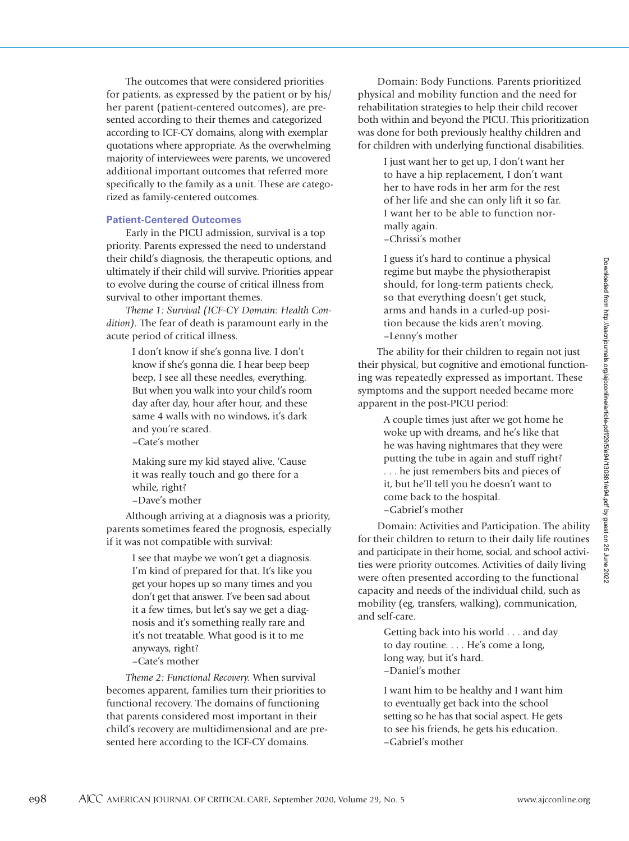The outcomes that were considered priorities for patients, as expressed by the patient or by his/ her parent (patient-centered outcomes), are presented according to their themes and categorized according to ICF-CY domains, along with exemplar quotations where appropriate. As the overwhelming majority of interviewees were parents, we uncovered additional important outcomes that referred more specifically to the family as a unit. These are categorized as family-centered outcomes.

## **Patient-Centered Outcomes**

Early in the PICU admission, survival is a top priority. Parents expressed the need to understand their child's diagnosis, the therapeutic options, and ultimately if their child will survive. Priorities appear to evolve during the course of critical illness from survival to other important themes.

*Theme 1: Survival (ICF-CY Domain: Health Condition).* The fear of death is paramount early in the acute period of critical illness.

> I don't know if she's gonna live. I don't know if she's gonna die. I hear beep beep beep, I see all these needles, everything. But when you walk into your child's room day after day, hour after hour, and these same 4 walls with no windows, it's dark and you're scared.

–Cate's mother

Making sure my kid stayed alive. 'Cause it was really touch and go there for a while, right?

–Dave's mother

Although arriving at a diagnosis was a priority, parents sometimes feared the prognosis, especially if it was not compatible with survival:

> I see that maybe we won't get a diagnosis. I'm kind of prepared for that. It's like you get your hopes up so many times and you don't get that answer. I've been sad about it a few times, but let's say we get a diagnosis and it's something really rare and it's not treatable. What good is it to me anyways, right?

–Cate's mother

*Theme 2: Functional Recovery.* When survival becomes apparent, families turn their priorities to functional recovery. The domains of functioning that parents considered most important in their child's recovery are multidimensional and are presented here according to the ICF-CY domains.

Domain: Body Functions. Parents prioritized physical and mobility function and the need for rehabilitation strategies to help their child recover both within and beyond the PICU. This prioritization was done for both previously healthy children and for children with underlying functional disabilities.

> I just want her to get up, I don't want her to have a hip replacement, I don't want her to have rods in her arm for the rest of her life and she can only lift it so far. I want her to be able to function normally again. –Chrissi's mother

I guess it's hard to continue a physical regime but maybe the physiotherapist should, for long-term patients check, so that everything doesn't get stuck, arms and hands in a curled-up position because the kids aren't moving. –Lenny's mother

The ability for their children to regain not just their physical, but cognitive and emotional functioning was repeatedly expressed as important. These symptoms and the support needed became more apparent in the post-PICU period:

> A couple times just after we got home he woke up with dreams, and he's like that he was having nightmares that they were putting the tube in again and stuff right? . . . he just remembers bits and pieces of it, but he'll tell you he doesn't want to come back to the hospital. –Gabriel's mother

Domain: Activities and Participation. The ability for their children to return to their daily life routines and participate in their home, social, and school activities were priority outcomes. Activities of daily living were often presented according to the functional capacity and needs of the individual child, such as mobility (eg, transfers, walking), communication, and self-care.

> Getting back into his world . . . and day to day routine. . . . He's come a long, long way, but it's hard. –Daniel's mother

I want him to be healthy and I want him to eventually get back into the school setting so he has that social aspect. He gets to see his friends, he gets his education. –Gabriel's mother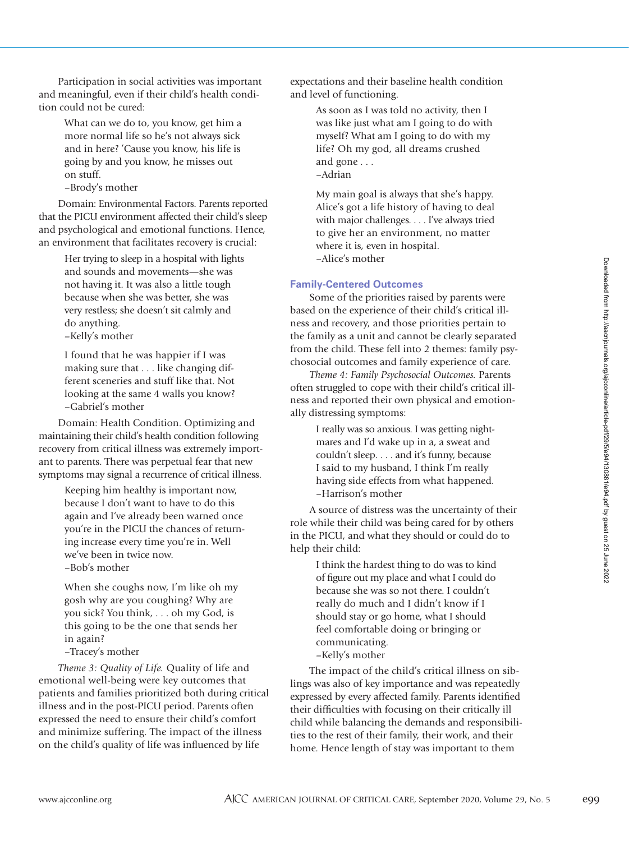Participation in social activities was important and meaningful, even if their child's health condition could not be cured:

> What can we do to, you know, get him a more normal life so he's not always sick and in here? 'Cause you know, his life is going by and you know, he misses out on stuff.

–Brody's mother

Domain: Environmental Factors. Parents reported that the PICU environment affected their child's sleep and psychological and emotional functions. Hence, an environment that facilitates recovery is crucial:

> Her trying to sleep in a hospital with lights and sounds and movements—she was not having it. It was also a little tough because when she was better, she was very restless; she doesn't sit calmly and do anything.

–Kelly's mother

I found that he was happier if I was making sure that . . . like changing different sceneries and stuff like that. Not looking at the same 4 walls you know? –Gabriel's mother

Domain: Health Condition. Optimizing and maintaining their child's health condition following recovery from critical illness was extremely important to parents. There was perpetual fear that new symptoms may signal a recurrence of critical illness.

> Keeping him healthy is important now, because I don't want to have to do this again and I've already been warned once you're in the PICU the chances of returning increase every time you're in. Well we've been in twice now. –Bob's mother

When she coughs now, I'm like oh my gosh why are you coughing? Why are you sick? You think, . . . oh my God, is this going to be the one that sends her in again?

–Tracey's mother

*Theme 3: Quality of Life.* Quality of life and emotional well-being were key outcomes that patients and families prioritized both during critical illness and in the post-PICU period. Parents often expressed the need to ensure their child's comfort and minimize suffering. The impact of the illness on the child's quality of life was influenced by life

expectations and their baseline health condition and level of functioning.

> As soon as I was told no activity, then I was like just what am I going to do with myself? What am I going to do with my life? Oh my god, all dreams crushed and gone . . . –Adrian

> My main goal is always that she's happy. Alice's got a life history of having to deal with major challenges. . . . I've always tried to give her an environment, no matter where it is, even in hospital. –Alice's mother

## **Family-Centered Outcomes**

Some of the priorities raised by parents were based on the experience of their child's critical illness and recovery, and those priorities pertain to the family as a unit and cannot be clearly separated from the child. These fell into 2 themes: family psychosocial outcomes and family experience of care.

*Theme 4: Family Psychosocial Outcomes.* Parents often struggled to cope with their child's critical illness and reported their own physical and emotionally distressing symptoms:

> I really was so anxious. I was getting nightmares and I'd wake up in a, a sweat and couldn't sleep. . . . and it's funny, because I said to my husband, I think I'm really having side effects from what happened. –Harrison's mother

A source of distress was the uncertainty of their role while their child was being cared for by others in the PICU, and what they should or could do to help their child:

> I think the hardest thing to do was to kind of figure out my place and what I could do because she was so not there. I couldn't really do much and I didn't know if I should stay or go home, what I should feel comfortable doing or bringing or communicating. –Kelly's mother

The impact of the child's critical illness on siblings was also of key importance and was repeatedly expressed by every affected family. Parents identified their difficulties with focusing on their critically ill child while balancing the demands and responsibilities to the rest of their family, their work, and their home. Hence length of stay was important to them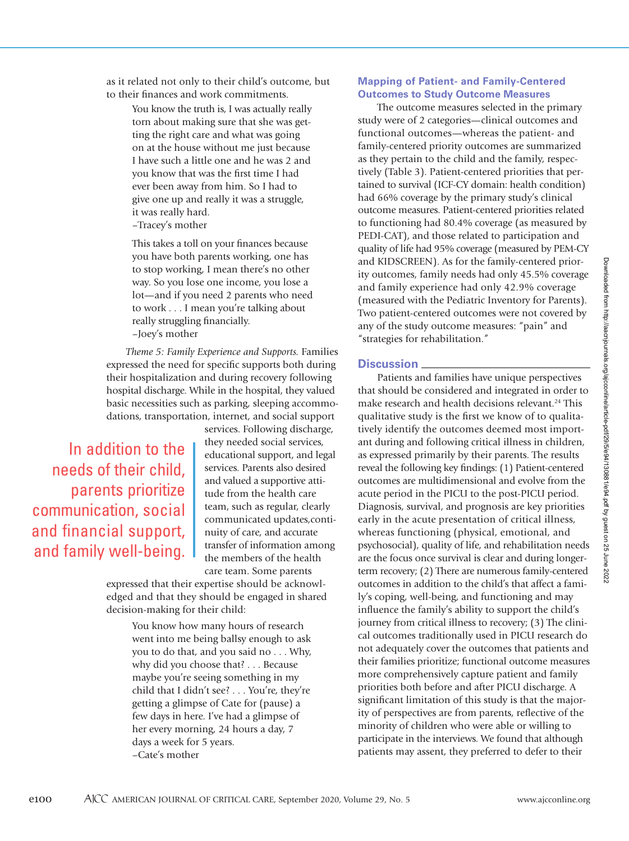as it related not only to their child's outcome, but to their finances and work commitments.

> You know the truth is, I was actually really torn about making sure that she was getting the right care and what was going on at the house without me just because I have such a little one and he was 2 and you know that was the first time I had ever been away from him. So I had to give one up and really it was a struggle, it was really hard. –Tracey's mother

> This takes a toll on your finances because you have both parents working, one has to stop working, I mean there's no other way. So you lose one income, you lose a lot—and if you need 2 parents who need to work . . . I mean you're talking about really struggling financially. –Joey's mother

*Theme 5: Family Experience and Supports.* Families expressed the need for specific supports both during their hospitalization and during recovery following hospital discharge. While in the hospital, they valued basic necessities such as parking, sleeping accommodations, transportation, internet, and social support

In addition to the needs of their child, parents prioritize communication, social and financial support, and family well-being. services. Following discharge, they needed social services, educational support, and legal services. Parents also desired and valued a supportive attitude from the health care team, such as regular, clearly communicated updates,continuity of care, and accurate transfer of information among the members of the health care team. Some parents

expressed that their expertise should be acknowledged and that they should be engaged in shared decision-making for their child:

> You know how many hours of research went into me being ballsy enough to ask you to do that, and you said no . . . Why, why did you choose that? . . . Because maybe you're seeing something in my child that I didn't see? . . . You're, they're getting a glimpse of Cate for (pause) a few days in here. I've had a glimpse of her every morning, 24 hours a day, 7 days a week for 5 years. –Cate's mother

# **Mapping of Patient- and Family-Centered Outcomes to Study Outcome Measures**

The outcome measures selected in the primary study were of 2 categories—clinical outcomes and functional outcomes—whereas the patient- and family-centered priority outcomes are summarized as they pertain to the child and the family, respectively (Table 3). Patient-centered priorities that pertained to survival (ICF-CY domain: health condition) had 66% coverage by the primary study's clinical outcome measures. Patient-centered priorities related to functioning had 80.4% coverage (as measured by PEDI-CAT), and those related to participation and quality of life had 95% coverage (measured by PEM-CY and KIDSCREEN). As for the family-centered priority outcomes, family needs had only 45.5% coverage and family experience had only 42.9% coverage (measured with the Pediatric Inventory for Parents). Two patient-centered outcomes were not covered by any of the study outcome measures: "pain" and "strategies for rehabilitation."

## **Discussion**

Patients and families have unique perspectives that should be considered and integrated in order to make research and health decisions relevant.<sup>24</sup> This qualitative study is the first we know of to qualitatively identify the outcomes deemed most important during and following critical illness in children, as expressed primarily by their parents. The results reveal the following key findings: (1) Patient-centered outcomes are multidimensional and evolve from the acute period in the PICU to the post-PICU period. Diagnosis, survival, and prognosis are key priorities early in the acute presentation of critical illness, whereas functioning (physical, emotional, and psychosocial), quality of life, and rehabilitation needs are the focus once survival is clear and during longerterm recovery; (2) There are numerous family-centered outcomes in addition to the child's that affect a family's coping, well-being, and functioning and may influence the family's ability to support the child's journey from critical illness to recovery; (3) The clinical outcomes traditionally used in PICU research do not adequately cover the outcomes that patients and their families prioritize; functional outcome measures more comprehensively capture patient and family priorities both before and after PICU discharge. A significant limitation of this study is that the majority of perspectives are from parents, reflective of the minority of children who were able or willing to participate in the interviews. We found that although patients may assent, they preferred to defer to their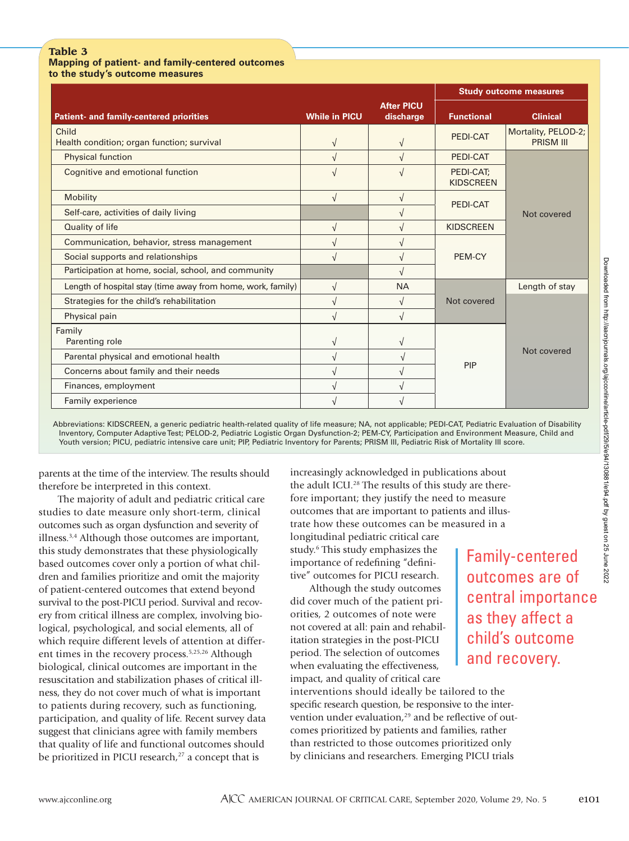# **Table 3**

**Mapping of patient- and family-centered outcomes to the study's outcome measures** 

|                                                             |                      |                                | <b>Study outcome measures</b> |                                         |  |
|-------------------------------------------------------------|----------------------|--------------------------------|-------------------------------|-----------------------------------------|--|
| Patient- and family-centered priorities                     | <b>While in PICU</b> | <b>After PICU</b><br>discharge | <b>Functional</b>             | <b>Clinical</b>                         |  |
| Child<br>Health condition; organ function; survival         | $\sqrt{ }$           | $\sqrt{ }$                     | PEDI-CAT                      | Mortality, PELOD-2;<br><b>PRISM III</b> |  |
| Physical function                                           |                      |                                | PEDI-CAT                      |                                         |  |
| Cognitive and emotional function                            |                      |                                | PEDI-CAT;<br><b>KIDSCREEN</b> | Not covered                             |  |
| <b>Mobility</b>                                             | $\sqrt{ }$           | $\sqrt{ }$                     | PEDI-CAT                      |                                         |  |
| Self-care, activities of daily living                       |                      |                                |                               |                                         |  |
| Quality of life                                             |                      |                                | <b>KIDSCREEN</b>              |                                         |  |
| Communication, behavior, stress management                  |                      |                                |                               |                                         |  |
| Social supports and relationships                           | $\sqrt{ }$           |                                | PEM-CY                        |                                         |  |
| Participation at home, social, school, and community        |                      |                                |                               |                                         |  |
| Length of hospital stay (time away from home, work, family) | V                    | <b>NA</b>                      |                               | Length of stay                          |  |
| Strategies for the child's rehabilitation                   | $\sqrt{ }$           | $\sqrt{ }$                     | Not covered                   | Not covered                             |  |
| Physical pain                                               |                      |                                |                               |                                         |  |
| Family<br>Parenting role                                    |                      |                                |                               |                                         |  |
| Parental physical and emotional health                      |                      |                                |                               |                                         |  |
| Concerns about family and their needs                       | $\sqrt{ }$           |                                | PIP                           |                                         |  |
| Finances, employment                                        |                      |                                |                               |                                         |  |
| Family experience                                           |                      |                                |                               |                                         |  |

Abbreviations: KIDSCREEN, a generic pediatric health-related quality of life measure; NA, not applicable; PEDI-CAT, Pediatric Evaluation of Disability Inventory, Computer Adaptive Test; PELOD-2, Pediatric Logistic Organ Dysfunction-2; PEM-CY, Participation and Environment Measure, Child and Youth version; PICU, pediatric intensive care unit; PIP, Pediatric Inventory for Parents; PRISM III, Pediatric Risk of Mortality III score.

parents at the time of the interview. The results should therefore be interpreted in this context.

The majority of adult and pediatric critical care studies to date measure only short-term, clinical outcomes such as organ dysfunction and severity of illness.3,4 Although those outcomes are important, this study demonstrates that these physiologically based outcomes cover only a portion of what children and families prioritize and omit the majority of patient-centered outcomes that extend beyond survival to the post-PICU period. Survival and recovery from critical illness are complex, involving biological, psychological, and social elements, all of which require different levels of attention at different times in the recovery process.5,25,26 Although biological, clinical outcomes are important in the resuscitation and stabilization phases of critical illness, they do not cover much of what is important to patients during recovery, such as functioning, participation, and quality of life. Recent survey data suggest that clinicians agree with family members that quality of life and functional outcomes should be prioritized in PICU research, $27$  a concept that is

increasingly acknowledged in publications about the adult ICU.<sup>28</sup> The results of this study are therefore important; they justify the need to measure outcomes that are important to patients and illustrate how these outcomes can be measured in a

longitudinal pediatric critical care study.<sup>6</sup> This study emphasizes the importance of redefining "definitive" outcomes for PICU research.

Although the study outcomes did cover much of the patient priorities, 2 outcomes of note were not covered at all: pain and rehabilitation strategies in the post-PICU period. The selection of outcomes when evaluating the effectiveness, impact, and quality of critical care

interventions should ideally be tailored to the specific research question, be responsive to the intervention under evaluation,<sup>29</sup> and be reflective of outcomes prioritized by patients and families, rather than restricted to those outcomes prioritized only by clinicians and researchers. Emerging PICU trials

Family-centered outcomes are of central importance as they affect a child's outcome and recovery.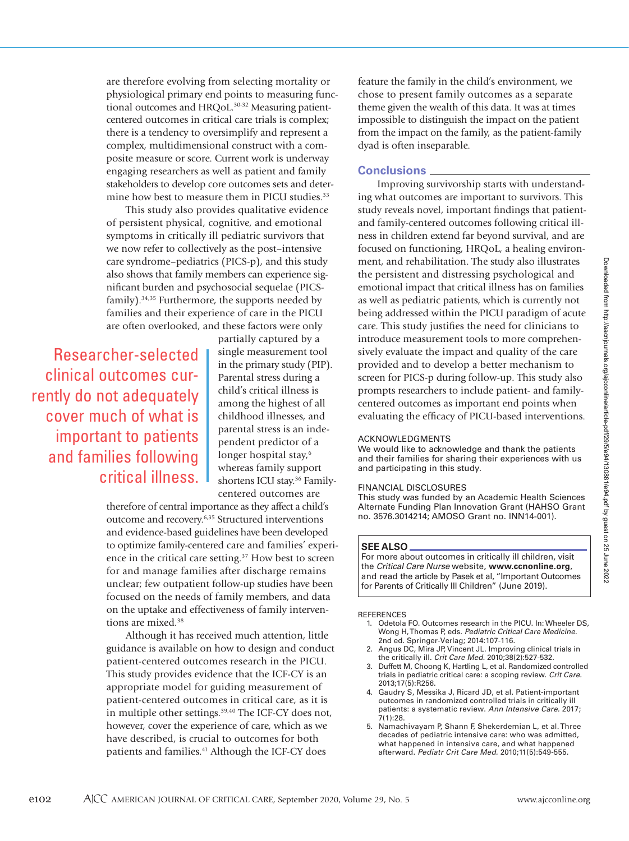are therefore evolving from selecting mortality or physiological primary end points to measuring functional outcomes and HRQoL.<sup>30-32</sup> Measuring patientcentered outcomes in critical care trials is complex; there is a tendency to oversimplify and represent a complex, multidimensional construct with a composite measure or score. Current work is underway engaging researchers as well as patient and family stakeholders to develop core outcomes sets and determine how best to measure them in PICU studies.<sup>33</sup>

This study also provides qualitative evidence of persistent physical, cognitive, and emotional symptoms in critically ill pediatric survivors that we now refer to collectively as the post–intensive care syndrome–pediatrics (PICS-p), and this study also shows that family members can experience significant burden and psychosocial sequelae (PICSfamily).34,35 Furthermore, the supports needed by families and their experience of care in the PICU are often overlooked, and these factors were only

Researcher-selected clinical outcomes currently do not adequately cover much of what is important to patients and families following critical illness.

partially captured by a single measurement tool in the primary study (PIP). Parental stress during a child's critical illness is among the highest of all childhood illnesses, and parental stress is an independent predictor of a longer hospital stay,<sup>6</sup> whereas family support shortens ICU stay.<sup>36</sup> Familycentered outcomes are

therefore of central importance as they affect a child's outcome and recovery.6,35 Structured interventions and evidence-based guidelines have been developed to optimize family-centered care and families' experience in the critical care setting.<sup>37</sup> How best to screen for and manage families after discharge remains unclear; few outpatient follow-up studies have been focused on the needs of family members, and data on the uptake and effectiveness of family interventions are mixed.<sup>38</sup>

Although it has received much attention, little guidance is available on how to design and conduct patient-centered outcomes research in the PICU. This study provides evidence that the ICF-CY is an appropriate model for guiding measurement of patient-centered outcomes in critical care, as it is in multiple other settings.<sup>39,40</sup> The ICF-CY does not, however, cover the experience of care, which as we have described, is crucial to outcomes for both patients and families.<sup>41</sup> Although the ICF-CY does

feature the family in the child's environment, we chose to present family outcomes as a separate theme given the wealth of this data. It was at times impossible to distinguish the impact on the patient from the impact on the family, as the patient-family dyad is often inseparable.

# **Conclusions**

Improving survivorship starts with understanding what outcomes are important to survivors. This study reveals novel, important findings that patientand family-centered outcomes following critical illness in children extend far beyond survival, and are focused on functioning, HRQoL, a healing environment, and rehabilitation. The study also illustrates the persistent and distressing psychological and emotional impact that critical illness has on families as well as pediatric patients, which is currently not being addressed within the PICU paradigm of acute care. This study justifies the need for clinicians to introduce measurement tools to more comprehensively evaluate the impact and quality of the care provided and to develop a better mechanism to screen for PICS-p during follow-up. This study also prompts researchers to include patient- and familycentered outcomes as important end points when evaluating the efficacy of PICU-based interventions.

#### ACKNOWLEDGMENTS

We would like to acknowledge and thank the patients and their families for sharing their experiences with us and participating in this study.

#### FINANCIAL DISCLOSURES

This study was funded by an Academic Health Sciences Alternate Funding Plan Innovation Grant (HAHSO Grant no. 3576.3014214; AMOSO Grant no. INN14-001).

#### **SEE ALSO**

For more about outcomes in critically ill children, visit the *Critical Care Nurse* website, **www.ccnonline.org**, and read the article by Pasek et al, "Important Outcomes for Parents of Critically Ill Children" (June 2019).

#### **REFERENCES**

- 1. Odetola FO. Outcomes research in the PICU. In: Wheeler DS, Wong H, Thomas P, eds. *Pediatric Critical Care Medicine.* 2nd ed. Springer-Verlag; 2014:107-116.
- 2. Angus DC, Mira JP, Vincent JL. Improving clinical trials in the critically ill. *Crit Care Med.* 2010;38(2):527-532.
- 3. Duffett M, Choong K, Hartling L, et al. Randomized controlled trials in pediatric critical care: a scoping review. *Crit Care.* 2013;17(5):R256.
- 4. Gaudry S, Messika J, Ricard JD, et al. Patient-important outcomes in randomized controlled trials in critically ill patients: a systematic review. *Ann Intensive Care.* 2017; .<br>7(1):28.
- 5. Namachivayam P, Shann F, Shekerdemian L, et al. Three decades of pediatric intensive care: who was admitted, what happened in intensive care, and what happened afterward. *Pediatr Crit Care Med.* 2010;11(5):549-555.